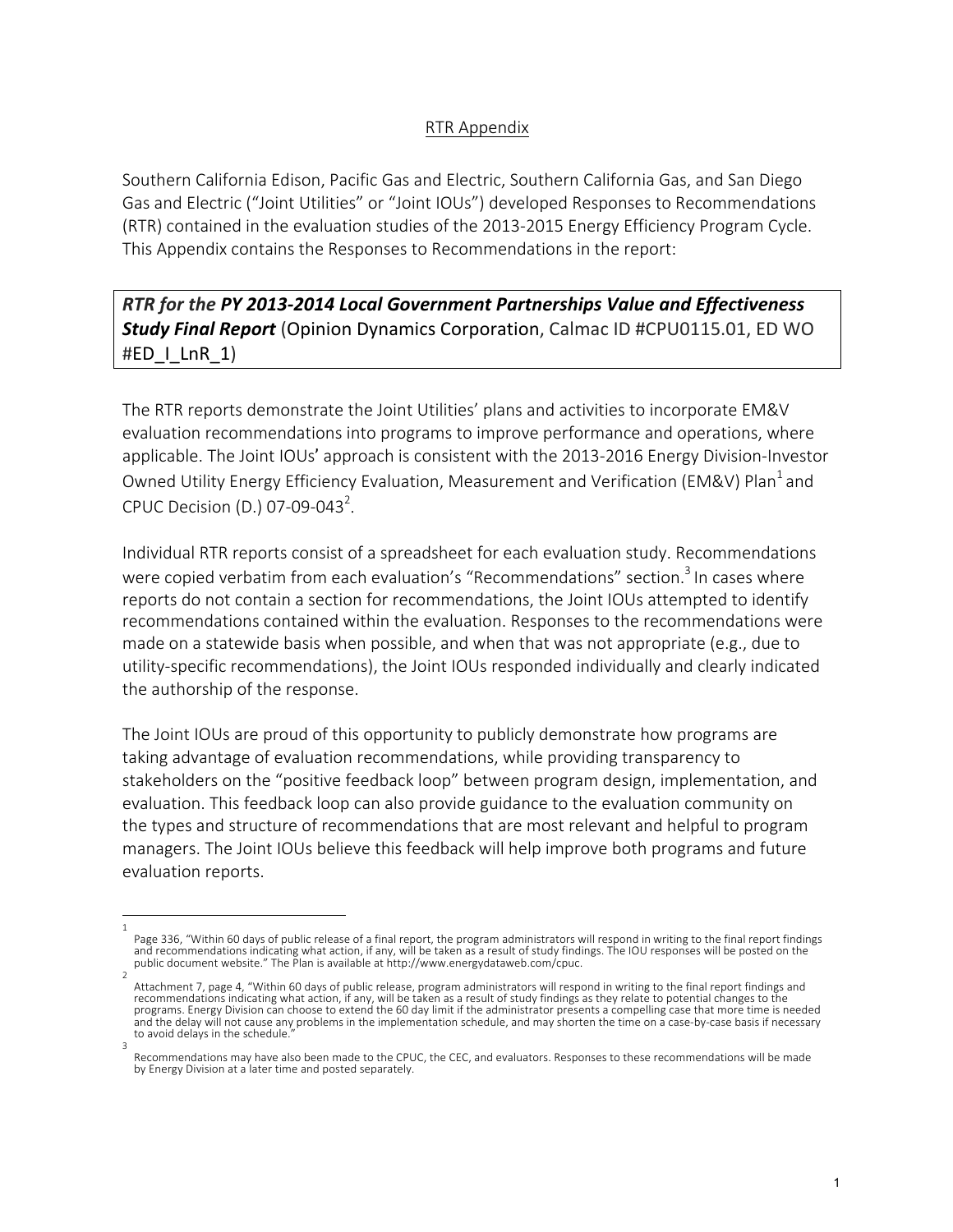## RTR Appendix

Southern California Edison, Pacific Gas and Electric, Southern California Gas, and San Diego Gas and Electric ("Joint Utilities" or "Joint IOUs") developed Responses to Recommendations (RTR) contained in the evaluation studies of the 2013-2015 Energy Efficiency Program Cycle. This Appendix contains the Responses to Recommendations in the report:

**RTR** for the PY 2013-2014 Local Government Partnerships Value and Effectiveness **Study Final Report** (Opinion Dynamics Corporation, Calmac ID #CPU0115.01, ED WO #ED  $\mid$  LnR  $\mid$ 1)

The RTR reports demonstrate the Joint Utilities' plans and activities to incorporate EM&V evaluation recommendations into programs to improve performance and operations, where applicable. The Joint IOUs' approach is consistent with the 2013-2016 Energy Division-Investor Owned Utility Energy Efficiency Evaluation, Measurement and Verification (EM&V) Plan<sup>1</sup> and CPUC Decision (D.) 07-09-043<sup>2</sup>.

Individual RTR reports consist of a spreadsheet for each evaluation study. Recommendations were copied verbatim from each evaluation's "Recommendations" section.<sup>3</sup> In cases where reports do not contain a section for recommendations, the Joint IOUs attempted to identify recommendations contained within the evaluation. Responses to the recommendations were made on a statewide basis when possible, and when that was not appropriate (e.g., due to utility-specific recommendations), the Joint IOUs responded individually and clearly indicated the authorship of the response.

The Joint IOUs are proud of this opportunity to publicly demonstrate how programs are taking advantage of evaluation recommendations, while providing transparency to stakeholders on the "positive feedback loop" between program design, implementation, and evaluation. This feedback loop can also provide guidance to the evaluation community on the types and structure of recommendations that are most relevant and helpful to program managers. The Joint IOUs believe this feedback will help improve both programs and future evaluation reports.

<sup>1</sup>  Page 336, "Within 60 days of public release of a final report, the program administrators will respond in writing to the final report findings and recommendations indicating what action, if any, will be taken as a result of study findings. The IOU responses will be posted on the<br>public document website." The Plan is available at http://www.energydataweb.com/cpuc.

<sup>2</sup>  Attachment 7, page 4, "Within 60 days of public release, program administrators will respond in writing to the final report findings and recommendations indicating what action, if any, will be taken as a result of study findings as they relate to potential changes to the programs. Energy Division can choose to extend the 60 day limit if the administrator presents a compelling case that more time is needed and the delay will not cause any problems in the implementation schedule, and may shorten the time on a case-by-case basis if necessary to avoid delays in the schedule

<sup>3</sup>  Recommendations may have also been made to the CPUC, the CEC, and evaluators. Responses to these recommendations will be made by Energy Division at a later time and posted separately.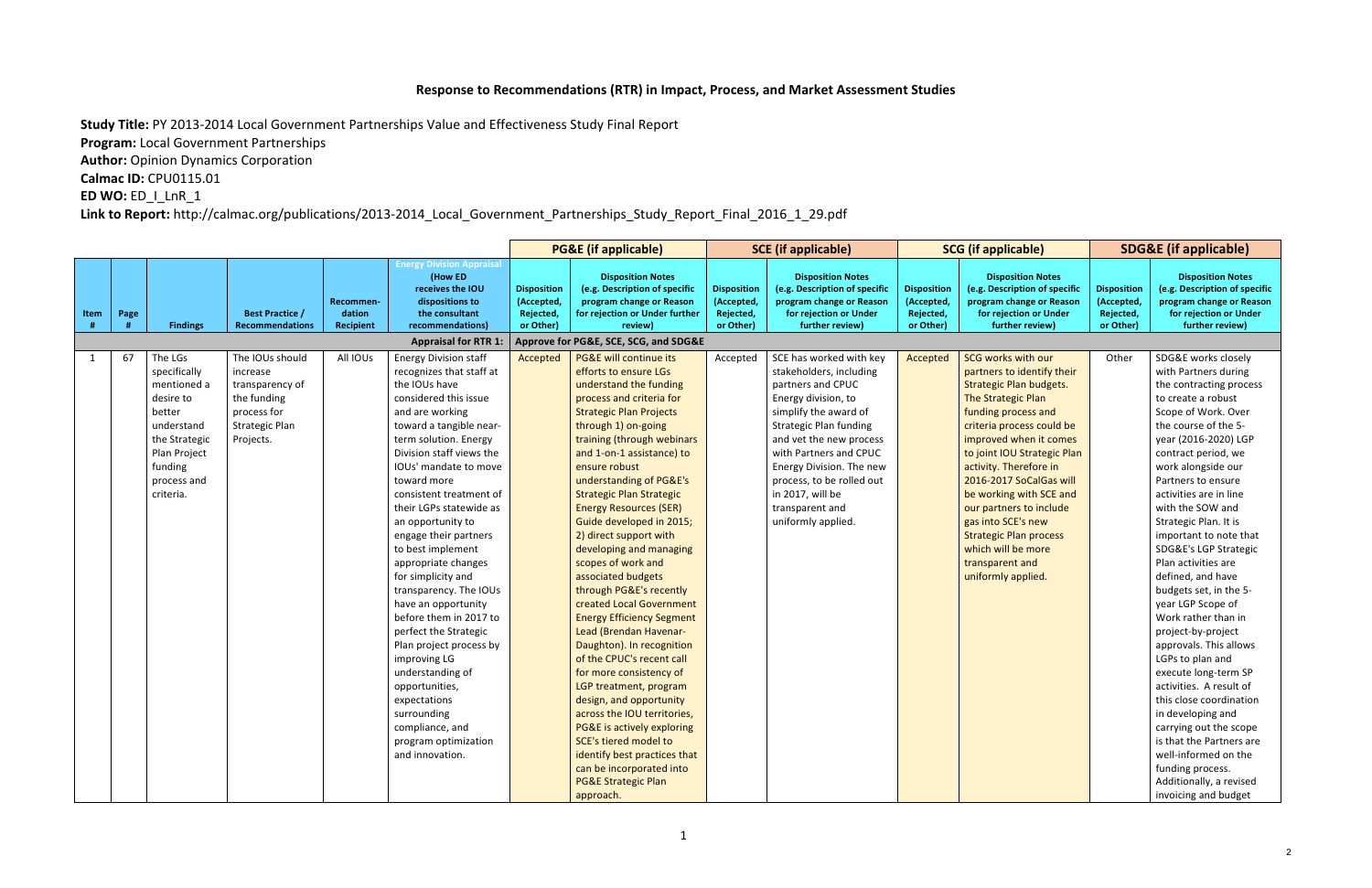## Response to Recommendations (RTR) in Impact, Process, and Market Assessment Studies

**Study Title:** PY 2013-2014 Local Government Partnerships Value and Effectiveness Study Final Report

**Program:** Local Government Partnerships

**Author:** Opinion Dynamics Corporation

**Calmac ID: CPU0115.01** 

**ED WO: ED\_I\_LnR\_1** 

Link to Report: http://calmac.org/publications/2013-2014\_Local\_Government\_Partnerships\_Study\_Report\_Final\_2016\_1\_29.pdf

|              |      |                                                                                                                                                     |                                                                                                                    |                                         |                                                                                                                                                                                                                                                                                                                                                                                                                                                                                                                                                                                                                                                                                                       |                                                            | <b>PG&amp;E (if applicable)</b>                                                                                                                                                                                                                                                                                                                                                                                                                                                                                                                                                                                                                                                                                                                                                                                                                                                                                                        |                                                            | <b>SCE</b> (if applicable)                                                                                                                                                                                                                                                                                                          | <b>SCG</b> (if applicable)                                 |                                                                                                                                                                                                                                                                                                                                                                                                                                                        |                                                            | <b>SDG&amp;E</b> (if applicable)                                                                                                                                                                                                                                                                                                                                                                                                                                                                                                                                                                                                                                                                                                                                                                               |
|--------------|------|-----------------------------------------------------------------------------------------------------------------------------------------------------|--------------------------------------------------------------------------------------------------------------------|-----------------------------------------|-------------------------------------------------------------------------------------------------------------------------------------------------------------------------------------------------------------------------------------------------------------------------------------------------------------------------------------------------------------------------------------------------------------------------------------------------------------------------------------------------------------------------------------------------------------------------------------------------------------------------------------------------------------------------------------------------------|------------------------------------------------------------|----------------------------------------------------------------------------------------------------------------------------------------------------------------------------------------------------------------------------------------------------------------------------------------------------------------------------------------------------------------------------------------------------------------------------------------------------------------------------------------------------------------------------------------------------------------------------------------------------------------------------------------------------------------------------------------------------------------------------------------------------------------------------------------------------------------------------------------------------------------------------------------------------------------------------------------|------------------------------------------------------------|-------------------------------------------------------------------------------------------------------------------------------------------------------------------------------------------------------------------------------------------------------------------------------------------------------------------------------------|------------------------------------------------------------|--------------------------------------------------------------------------------------------------------------------------------------------------------------------------------------------------------------------------------------------------------------------------------------------------------------------------------------------------------------------------------------------------------------------------------------------------------|------------------------------------------------------------|----------------------------------------------------------------------------------------------------------------------------------------------------------------------------------------------------------------------------------------------------------------------------------------------------------------------------------------------------------------------------------------------------------------------------------------------------------------------------------------------------------------------------------------------------------------------------------------------------------------------------------------------------------------------------------------------------------------------------------------------------------------------------------------------------------------|
| Item         | Page | <b>Findings</b>                                                                                                                                     | <b>Best Practice /</b><br><b>Recommendations</b>                                                                   | Recommen-<br>dation<br><b>Recipient</b> | <b>Energy Division Appraisal</b><br>(How ED<br>receives the IOU<br>dispositions to<br>the consultant<br>recommendations)                                                                                                                                                                                                                                                                                                                                                                                                                                                                                                                                                                              | <b>Disposition</b><br>(Accepted,<br>Rejected,<br>or Other) | <b>Disposition Notes</b><br>(e.g. Description of specific<br>program change or Reason<br>for rejection or Under further<br>review)                                                                                                                                                                                                                                                                                                                                                                                                                                                                                                                                                                                                                                                                                                                                                                                                     | <b>Disposition</b><br>(Accepted,<br>Rejected,<br>or Other) | <b>Disposition Notes</b><br>(e.g. Description of specific<br>program change or Reason<br>for rejection or Under<br>further review)                                                                                                                                                                                                  | <b>Disposition</b><br>(Accepted,<br>Rejected,<br>or Other) | <b>Disposition Notes</b><br>(e.g. Description of specific<br>program change or Reason<br>for rejection or Under<br>further review)                                                                                                                                                                                                                                                                                                                     | <b>Disposition</b><br>(Accepted,<br>Rejected,<br>or Other) | <b>Disposition Notes</b><br>(e.g. Description of specific<br>program change or Reason<br>for rejection or Under<br>further review)                                                                                                                                                                                                                                                                                                                                                                                                                                                                                                                                                                                                                                                                             |
|              |      |                                                                                                                                                     |                                                                                                                    |                                         | <b>Appraisal for RTR 1:</b>                                                                                                                                                                                                                                                                                                                                                                                                                                                                                                                                                                                                                                                                           |                                                            | Approve for PG&E, SCE, SCG, and SDG&E                                                                                                                                                                                                                                                                                                                                                                                                                                                                                                                                                                                                                                                                                                                                                                                                                                                                                                  |                                                            |                                                                                                                                                                                                                                                                                                                                     |                                                            |                                                                                                                                                                                                                                                                                                                                                                                                                                                        |                                                            |                                                                                                                                                                                                                                                                                                                                                                                                                                                                                                                                                                                                                                                                                                                                                                                                                |
| $\mathbf{1}$ | 67   | The LGs<br>specifically<br>mentioned a<br>desire to<br>better<br>understand<br>the Strategic<br>Plan Project<br>funding<br>process and<br>criteria. | The IOUs should<br>increase<br>transparency of<br>the funding<br>process for<br><b>Strategic Plan</b><br>Projects. | All IOUs                                | <b>Energy Division staff</b><br>recognizes that staff at<br>the IOUs have<br>considered this issue<br>and are working<br>toward a tangible near-<br>term solution. Energy<br>Division staff views the<br>IOUs' mandate to move<br>toward more<br>consistent treatment of<br>their LGPs statewide as<br>an opportunity to<br>engage their partners<br>to best implement<br>appropriate changes<br>for simplicity and<br>transparency. The IOUs<br>have an opportunity<br>before them in 2017 to<br>perfect the Strategic<br>Plan project process by<br>improving LG<br>understanding of<br>opportunities,<br>expectations<br>surrounding<br>compliance, and<br>program optimization<br>and innovation. | Accepted                                                   | PG&E will continue its<br>efforts to ensure LGs<br>understand the funding<br>process and criteria for<br><b>Strategic Plan Projects</b><br>through 1) on-going<br>training (through webinars<br>and 1-on-1 assistance) to<br>ensure robust<br>understanding of PG&E's<br><b>Strategic Plan Strategic</b><br><b>Energy Resources (SER)</b><br>Guide developed in 2015;<br>2) direct support with<br>developing and managing<br>scopes of work and<br>associated budgets<br>through PG&E's recently<br>created Local Government<br><b>Energy Efficiency Segment</b><br>Lead (Brendan Havenar-<br>Daughton). In recognition<br>of the CPUC's recent call<br>for more consistency of<br>LGP treatment, program<br>design, and opportunity<br>across the IOU territories,<br>PG&E is actively exploring<br>SCE's tiered model to<br>identify best practices that<br>can be incorporated into<br><b>PG&amp;E Strategic Plan</b><br>approach. | Accepted                                                   | SCE has worked with key<br>stakeholders, including<br>partners and CPUC<br>Energy division, to<br>simplify the award of<br><b>Strategic Plan funding</b><br>and vet the new process<br>with Partners and CPUC<br>Energy Division. The new<br>process, to be rolled out<br>in 2017, will be<br>transparent and<br>uniformly applied. | Accepted                                                   | SCG works with our<br>partners to identify their<br><b>Strategic Plan budgets.</b><br>The Strategic Plan<br>funding process and<br>criteria process could be<br>improved when it comes<br>to joint IOU Strategic Plan<br>activity. Therefore in<br>2016-2017 SoCalGas will<br>be working with SCE and<br>our partners to include<br>gas into SCE's new<br><b>Strategic Plan process</b><br>which will be more<br>transparent and<br>uniformly applied. | Other                                                      | SDG&E works closely<br>with Partners during<br>the contracting process<br>to create a robust<br>Scope of Work. Over<br>the course of the 5-<br>year (2016-2020) LGP<br>contract period, we<br>work alongside our<br>Partners to ensure<br>activities are in line<br>with the SOW and<br>Strategic Plan. It is<br>important to note that<br>SDG&E's LGP Strategic<br>Plan activities are<br>defined, and have<br>budgets set, in the 5-<br>year LGP Scope of<br>Work rather than in<br>project-by-project<br>approvals. This allows<br>LGPs to plan and<br>execute long-term SP<br>activities. A result of<br>this close coordination<br>in developing and<br>carrying out the scope<br>is that the Partners are<br>well-informed on the<br>funding process.<br>Additionally, a revised<br>invoicing and budget |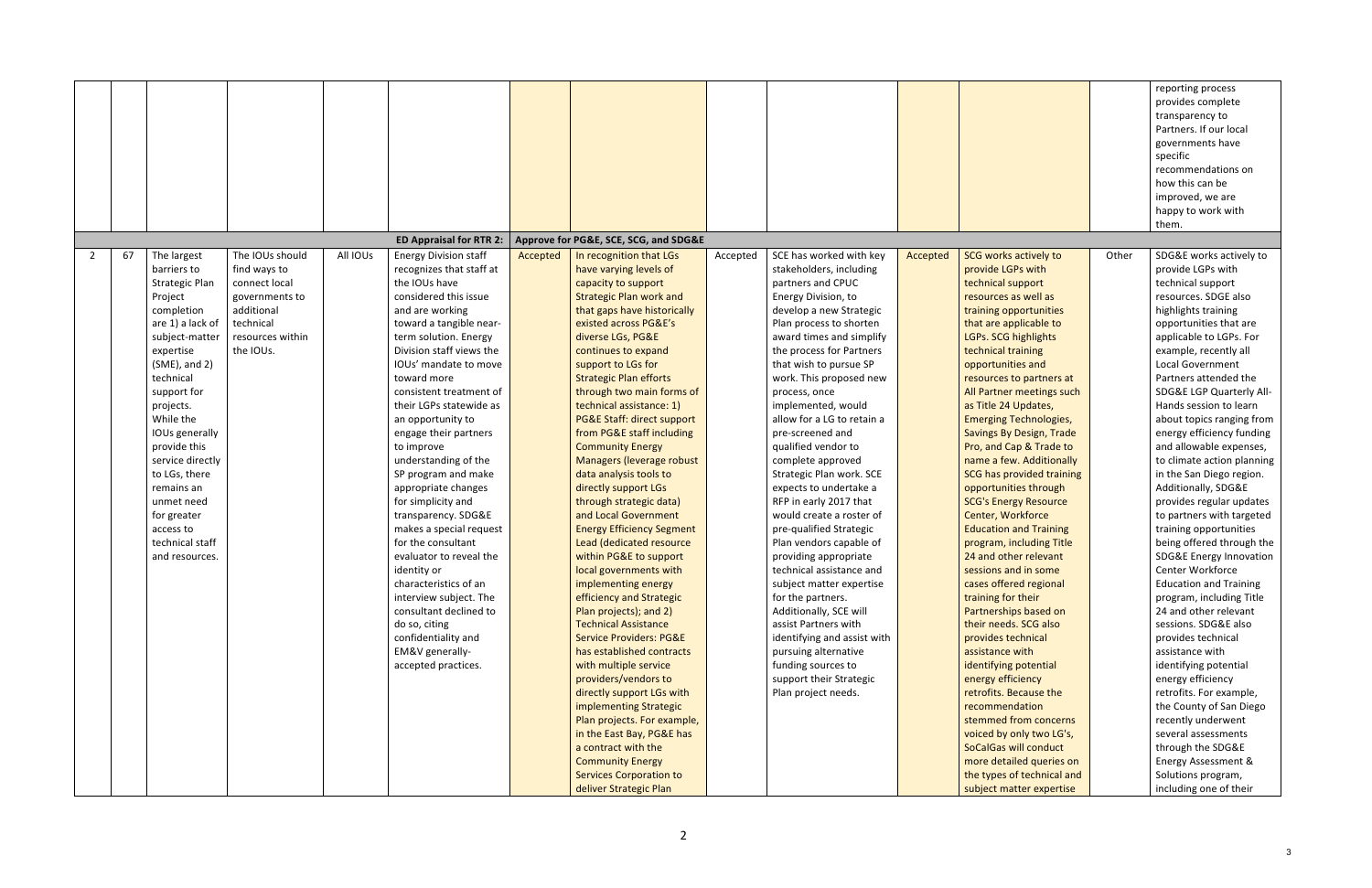| Approve for PG&E, SCE, SCG, and SDG&E<br>67<br>The largest<br>The IOUs should<br>All IOUs<br><b>Energy Division staff</b><br>In recognition that LGs<br>SCE has worked with key<br>SCG works actively to<br>Accepted<br>Other<br>2<br>Accepted<br>Accepted<br>barriers to<br>find ways to<br>recognizes that staff at<br>have varying levels of<br>stakeholders, including<br>provide LGPs with<br>the IOUs have<br>technical support<br>Strategic Plan<br>connect local<br>capacity to support<br>partners and CPUC<br>considered this issue<br><b>Strategic Plan work and</b><br>Energy Division, to<br>resources as well as<br>Project<br>governments to<br>additional<br>that gaps have historically<br>develop a new Strategic<br>training opportunities<br>completion<br>and are working<br>technical<br>are 1) a lack of<br>toward a tangible near-<br>existed across PG&E's<br>Plan process to shorten<br>that are applicable to<br>term solution. Energy<br>diverse LGs, PG&E<br>award times and simplify<br>LGPs. SCG highlights<br>subject-matter<br>resources within<br>Division staff views the<br>the IOUs.<br>the process for Partners<br>technical training<br>expertise<br>continues to expand<br>$(SME)$ , and 2)<br>IOUs' mandate to move<br>that wish to pursue SP<br>support to LGs for<br>opportunities and<br>technical<br>toward more<br><b>Strategic Plan efforts</b><br>work. This proposed new<br>resources to partners at<br>support for<br>consistent treatment of<br>through two main forms of<br>All Partner meetings such<br>process, once<br>technical assistance: 1)<br>implemented, would<br>as Title 24 Updates,<br>projects.<br>their LGPs statewide as<br>While the<br><b>PG&amp;E Staff: direct support</b><br>allow for a LG to retain a<br><b>Emerging Technologies,</b><br>an opportunity to<br>from PG&E staff including<br>IOUs generally<br>pre-screened and<br>Savings By Design, Trade<br>engage their partners<br>provide this<br>qualified vendor to<br><b>Community Energy</b><br>Pro, and Cap & Trade to<br>to improve<br>service directly<br>understanding of the<br>Managers (leverage robust<br>complete approved<br>name a few. Additionally<br>to LGs, there<br><b>SCG has provided training</b><br>SP program and make<br>data analysis tools to<br>Strategic Plan work. SCE<br>directly support LGs<br>remains an<br>appropriate changes<br>expects to undertake a<br>opportunities through<br>for simplicity and<br>through strategic data)<br>RFP in early 2017 that<br><b>SCG's Energy Resource</b><br>unmet need<br>and Local Government<br>Center, Workforce<br>transparency. SDG&E<br>would create a roster of<br>for greater<br>makes a special request<br><b>Energy Efficiency Segment</b><br>pre-qualified Strategic<br><b>Education and Training</b><br>access to<br>technical staff<br>for the consultant<br>Lead (dedicated resource<br>Plan vendors capable of<br>program, including Title<br>evaluator to reveal the<br>within PG&E to support<br>24 and other relevant<br>and resources.<br>providing appropriate<br>technical assistance and<br>identity or<br>local governments with<br>sessions and in some<br>characteristics of an<br>implementing energy<br>subject matter expertise<br>cases offered regional<br>interview subject. The<br>efficiency and Strategic<br>for the partners.<br>training for their<br>consultant declined to<br>Partnerships based on<br>Plan projects); and 2)<br>Additionally, SCE will<br><b>Technical Assistance</b><br>assist Partners with<br>their needs. SCG also<br>do so, citing<br><b>Service Providers: PG&amp;E</b><br>identifying and assist with<br>provides technical<br>confidentiality and<br>EM&V generally-<br>has established contracts<br>pursuing alternative<br>assistance with<br>with multiple service<br>funding sources to<br>identifying potential<br>accepted practices.<br>providers/vendors to<br>support their Strategic<br>energy efficiency<br>directly support LGs with<br>Plan project needs.<br>retrofits. Because the<br>recommendation<br>implementing Strategic<br>Plan projects. For example,<br>stemmed from concerns<br>in the East Bay, PG&E has<br>voiced by only two LG's, |  |                                |  |  |  | reporting process<br>provides complete<br>transparency to<br>Partners. If our local<br>governments have<br>specific<br>recommendations on<br>how this can be<br>improved, we are<br>happy to work with<br>them.                                                                                                                                                                                                                                                                                                                                                                                                                                                                                                                                                                                                                                                                                                                                                                                                                               |
|---------------------------------------------------------------------------------------------------------------------------------------------------------------------------------------------------------------------------------------------------------------------------------------------------------------------------------------------------------------------------------------------------------------------------------------------------------------------------------------------------------------------------------------------------------------------------------------------------------------------------------------------------------------------------------------------------------------------------------------------------------------------------------------------------------------------------------------------------------------------------------------------------------------------------------------------------------------------------------------------------------------------------------------------------------------------------------------------------------------------------------------------------------------------------------------------------------------------------------------------------------------------------------------------------------------------------------------------------------------------------------------------------------------------------------------------------------------------------------------------------------------------------------------------------------------------------------------------------------------------------------------------------------------------------------------------------------------------------------------------------------------------------------------------------------------------------------------------------------------------------------------------------------------------------------------------------------------------------------------------------------------------------------------------------------------------------------------------------------------------------------------------------------------------------------------------------------------------------------------------------------------------------------------------------------------------------------------------------------------------------------------------------------------------------------------------------------------------------------------------------------------------------------------------------------------------------------------------------------------------------------------------------------------------------------------------------------------------------------------------------------------------------------------------------------------------------------------------------------------------------------------------------------------------------------------------------------------------------------------------------------------------------------------------------------------------------------------------------------------------------------------------------------------------------------------------------------------------------------------------------------------------------------------------------------------------------------------------------------------------------------------------------------------------------------------------------------------------------------------------------------------------------------------------------------------------------------------------------------------------------------------------------------------------------------------------------------------------------------------------------------------------------------------------------------------------------------------------------------------------------------------------------------------------------------------------------------------------------------------------------------------------------------------------------------------------------------------------------------------------------------------------------------------------------------------------------------------------------------------|--|--------------------------------|--|--|--|-----------------------------------------------------------------------------------------------------------------------------------------------------------------------------------------------------------------------------------------------------------------------------------------------------------------------------------------------------------------------------------------------------------------------------------------------------------------------------------------------------------------------------------------------------------------------------------------------------------------------------------------------------------------------------------------------------------------------------------------------------------------------------------------------------------------------------------------------------------------------------------------------------------------------------------------------------------------------------------------------------------------------------------------------|
|                                                                                                                                                                                                                                                                                                                                                                                                                                                                                                                                                                                                                                                                                                                                                                                                                                                                                                                                                                                                                                                                                                                                                                                                                                                                                                                                                                                                                                                                                                                                                                                                                                                                                                                                                                                                                                                                                                                                                                                                                                                                                                                                                                                                                                                                                                                                                                                                                                                                                                                                                                                                                                                                                                                                                                                                                                                                                                                                                                                                                                                                                                                                                                                                                                                                                                                                                                                                                                                                                                                                                                                                                                                                                                                                                                                                                                                                                                                                                                                                                                                                                                                                                                                                                                       |  | <b>ED Appraisal for RTR 2:</b> |  |  |  |                                                                                                                                                                                                                                                                                                                                                                                                                                                                                                                                                                                                                                                                                                                                                                                                                                                                                                                                                                                                                                               |
| a contract with the<br>SoCalGas will conduct<br>more detailed queries on<br><b>Community Energy</b><br><b>Services Corporation to</b><br>the types of technical and                                                                                                                                                                                                                                                                                                                                                                                                                                                                                                                                                                                                                                                                                                                                                                                                                                                                                                                                                                                                                                                                                                                                                                                                                                                                                                                                                                                                                                                                                                                                                                                                                                                                                                                                                                                                                                                                                                                                                                                                                                                                                                                                                                                                                                                                                                                                                                                                                                                                                                                                                                                                                                                                                                                                                                                                                                                                                                                                                                                                                                                                                                                                                                                                                                                                                                                                                                                                                                                                                                                                                                                                                                                                                                                                                                                                                                                                                                                                                                                                                                                                   |  |                                |  |  |  | SDG&E works actively to<br>provide LGPs with<br>technical support<br>resources. SDGE also<br>highlights training<br>opportunities that are<br>applicable to LGPs. For<br>example, recently all<br><b>Local Government</b><br>Partners attended the<br>SDG&E LGP Quarterly All-<br>Hands session to learn<br>about topics ranging from<br>energy efficiency funding<br>and allowable expenses,<br>to climate action planning<br>in the San Diego region.<br>Additionally, SDG&E<br>provides regular updates<br>to partners with targeted<br>training opportunities<br>being offered through the<br><b>SDG&amp;E Energy Innovation</b><br>Center Workforce<br><b>Education and Training</b><br>program, including Title<br>24 and other relevant<br>sessions. SDG&E also<br>provides technical<br>assistance with<br>identifying potential<br>energy efficiency<br>retrofits. For example,<br>the County of San Diego<br>recently underwent<br>several assessments<br>through the SDG&E<br><b>Energy Assessment &amp;</b><br>Solutions program, |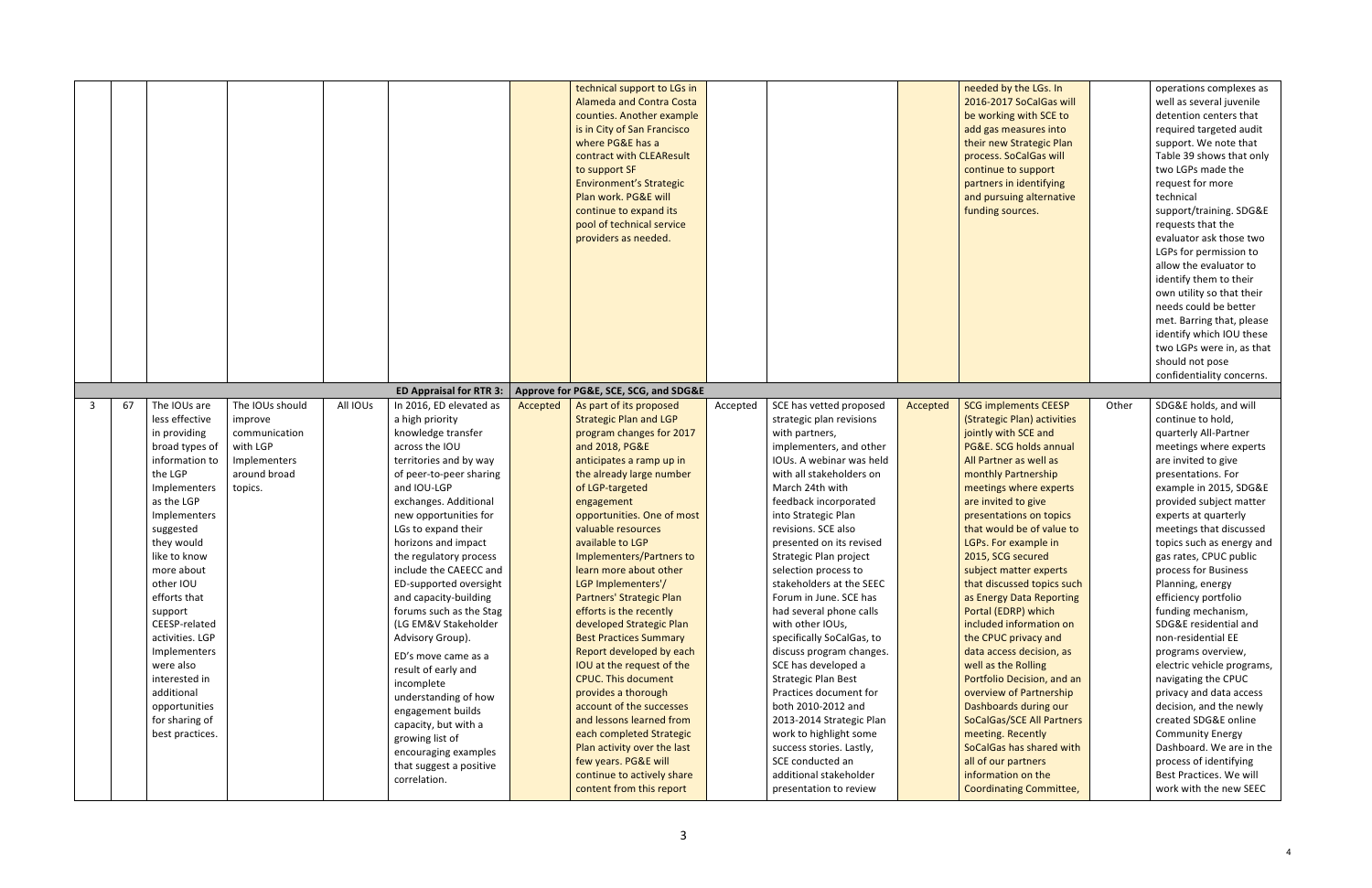|   |    |                                                                                                                                                                                                                                                                                                                                                                                                    |                                                                                                    |          |                                                                                                                                                                                                                                                                                                                                                                                                                                                                                                                                                                                                                                                             |          | technical support to LGs in<br><b>Alameda and Contra Costa</b><br>counties. Another example<br>is in City of San Francisco<br>where PG&E has a<br>contract with CLEAResult<br>to support SF<br><b>Environment's Strategic</b><br>Plan work. PG&E will<br>continue to expand its<br>pool of technical service<br>providers as needed.                                                                                                                                                                                                                                                                                                                                                                                                                           |          |                                                                                                                                                                                                                                                                                                                                                                                                                                                                                                                                                                                                                                                                                                                                     |          | needed by the LGs. In<br>2016-2017 SoCalGas will<br>be working with SCE to<br>add gas measures into<br>their new Strategic Plan<br>process. SoCalGas will<br>continue to support<br>partners in identifying<br>and pursuing alternative<br>funding sources.                                                                                                                                                                                                                                                                                                                                                                                                                                                                                              |       | operations complexes as<br>well as several juvenile<br>detention centers that<br>required targeted audit<br>support. We note that<br>Table 39 shows that only<br>two LGPs made the<br>request for more<br>technical<br>support/training. SDG&E<br>requests that the<br>evaluator ask those two<br>LGPs for permission to<br>allow the evaluator to<br>identify them to their<br>own utility so that their<br>needs could be better<br>met. Barring that, please<br>identify which IOU these<br>two LGPs were in, as that<br>should not pose<br>confidentiality concerns.                                                                                                                                                |
|---|----|----------------------------------------------------------------------------------------------------------------------------------------------------------------------------------------------------------------------------------------------------------------------------------------------------------------------------------------------------------------------------------------------------|----------------------------------------------------------------------------------------------------|----------|-------------------------------------------------------------------------------------------------------------------------------------------------------------------------------------------------------------------------------------------------------------------------------------------------------------------------------------------------------------------------------------------------------------------------------------------------------------------------------------------------------------------------------------------------------------------------------------------------------------------------------------------------------------|----------|----------------------------------------------------------------------------------------------------------------------------------------------------------------------------------------------------------------------------------------------------------------------------------------------------------------------------------------------------------------------------------------------------------------------------------------------------------------------------------------------------------------------------------------------------------------------------------------------------------------------------------------------------------------------------------------------------------------------------------------------------------------|----------|-------------------------------------------------------------------------------------------------------------------------------------------------------------------------------------------------------------------------------------------------------------------------------------------------------------------------------------------------------------------------------------------------------------------------------------------------------------------------------------------------------------------------------------------------------------------------------------------------------------------------------------------------------------------------------------------------------------------------------------|----------|----------------------------------------------------------------------------------------------------------------------------------------------------------------------------------------------------------------------------------------------------------------------------------------------------------------------------------------------------------------------------------------------------------------------------------------------------------------------------------------------------------------------------------------------------------------------------------------------------------------------------------------------------------------------------------------------------------------------------------------------------------|-------|-------------------------------------------------------------------------------------------------------------------------------------------------------------------------------------------------------------------------------------------------------------------------------------------------------------------------------------------------------------------------------------------------------------------------------------------------------------------------------------------------------------------------------------------------------------------------------------------------------------------------------------------------------------------------------------------------------------------------|
|   |    |                                                                                                                                                                                                                                                                                                                                                                                                    |                                                                                                    |          | ED Appraisal for RTR 3:                                                                                                                                                                                                                                                                                                                                                                                                                                                                                                                                                                                                                                     |          | Approve for PG&E, SCE, SCG, and SDG&E                                                                                                                                                                                                                                                                                                                                                                                                                                                                                                                                                                                                                                                                                                                          |          |                                                                                                                                                                                                                                                                                                                                                                                                                                                                                                                                                                                                                                                                                                                                     |          |                                                                                                                                                                                                                                                                                                                                                                                                                                                                                                                                                                                                                                                                                                                                                          |       |                                                                                                                                                                                                                                                                                                                                                                                                                                                                                                                                                                                                                                                                                                                         |
| 3 | 67 | The IOUs are<br>less effective<br>in providing<br>broad types of<br>information to<br>the LGP<br>Implementers<br>as the LGP<br>Implementers<br>suggested<br>they would<br>like to know<br>more about<br>other IOU<br>efforts that<br>support<br>CEESP-related<br>activities. LGP<br>Implementers<br>were also<br>interested in<br>additional<br>opportunities<br>for sharing of<br>best practices. | The IOUs should<br>improve<br>communication<br>with LGP<br>Implementers<br>around broad<br>topics. | All IOUs | In 2016, ED elevated as<br>a high priority<br>knowledge transfer<br>across the IOU<br>territories and by way<br>of peer-to-peer sharing<br>and IOU-LGP<br>exchanges. Additional<br>new opportunities for<br>LGs to expand their<br>horizons and impact<br>the regulatory process<br>include the CAEECC and<br>ED-supported oversight<br>and capacity-building<br>forums such as the Stag<br>(LG EM&V Stakeholder<br>Advisory Group).<br>ED's move came as a<br>result of early and<br>incomplete<br>understanding of how<br>engagement builds<br>capacity, but with a<br>growing list of<br>encouraging examples<br>that suggest a positive<br>correlation. | Accepted | As part of its proposed<br><b>Strategic Plan and LGP</b><br>program changes for 2017<br>and 2018, PG&E<br>anticipates a ramp up in<br>the already large number<br>of LGP-targeted<br>engagement<br>opportunities. One of most<br>valuable resources<br>available to LGP<br>Implementers/Partners to<br>learn more about other<br>LGP Implementers'/<br>Partners' Strategic Plan<br>efforts is the recently<br>developed Strategic Plan<br><b>Best Practices Summary</b><br>Report developed by each<br>IOU at the request of the<br><b>CPUC. This document</b><br>provides a thorough<br>account of the successes<br>and lessons learned from<br>each completed Strategic<br>Plan activity over the last<br>few years. PG&E will<br>continue to actively share | Accepted | SCE has vetted proposed<br>strategic plan revisions<br>with partners,<br>implementers, and other<br>IOUs. A webinar was held<br>with all stakeholders on<br>March 24th with<br>feedback incorporated<br>into Strategic Plan<br>revisions. SCE also<br>presented on its revised<br>Strategic Plan project<br>selection process to<br>stakeholders at the SEEC<br>Forum in June. SCE has<br>had several phone calls<br>with other IOUs,<br>specifically SoCalGas, to<br>discuss program changes.<br>SCE has developed a<br><b>Strategic Plan Best</b><br>Practices document for<br>both 2010-2012 and<br>2013-2014 Strategic Plan<br>work to highlight some<br>success stories. Lastly,<br>SCE conducted an<br>additional stakeholder | Accepted | <b>SCG implements CEESP</b><br>(Strategic Plan) activities<br>jointly with SCE and<br>PG&E. SCG holds annual<br>All Partner as well as<br>monthly Partnership<br>meetings where experts<br>are invited to give<br>presentations on topics<br>that would be of value to<br>LGPs. For example in<br>2015, SCG secured<br>subject matter experts<br>that discussed topics such<br>as Energy Data Reporting<br>Portal (EDRP) which<br>included information on<br>the CPUC privacy and<br>data access decision, as<br>well as the Rolling<br>Portfolio Decision, and an<br>overview of Partnership<br>Dashboards during our<br><b>SoCalGas/SCE All Partners</b><br>meeting. Recently<br>SoCalGas has shared with<br>all of our partners<br>information on the | Other | SDG&E holds, and will<br>continue to hold,<br>quarterly All-Partner<br>meetings where experts<br>are invited to give<br>presentations. For<br>example in 2015, SDG&E<br>provided subject matter<br>experts at quarterly<br>meetings that discussed<br>topics such as energy and<br>gas rates, CPUC public<br>process for Business<br>Planning, energy<br>efficiency portfolio<br>funding mechanism,<br>SDG&E residential and<br>non-residential EE<br>programs overview,<br>electric vehicle programs,<br>navigating the CPUC<br>privacy and data access<br>decision, and the newly<br>created SDG&E online<br><b>Community Energy</b><br>Dashboard. We are in the<br>process of identifying<br>Best Practices. We will |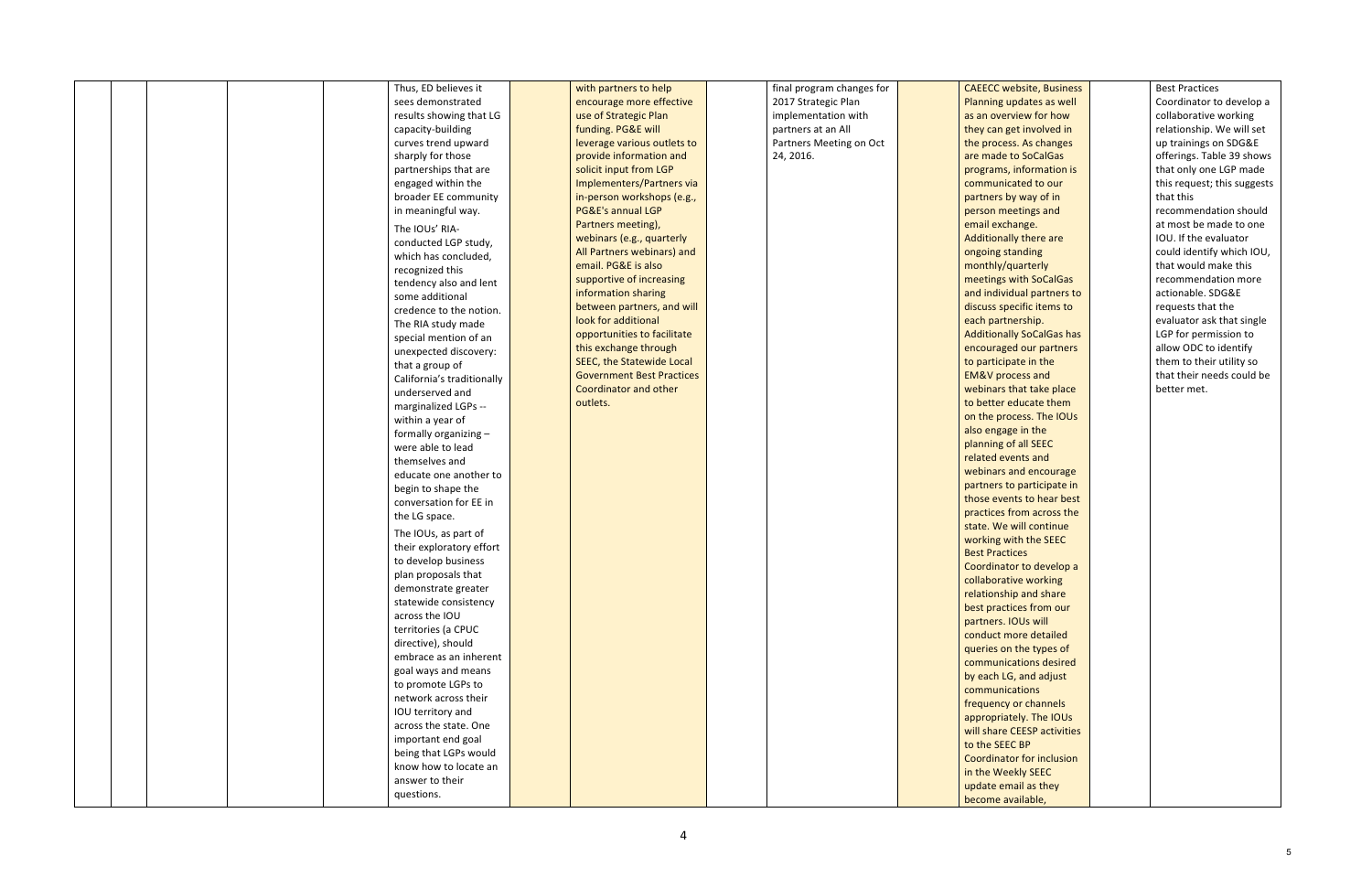|  | Thus, ED believes it       | with partners to help            | final program changes for | <b>CAEECC website, Business</b>  | <b>Best Practices</b>       |
|--|----------------------------|----------------------------------|---------------------------|----------------------------------|-----------------------------|
|  | sees demonstrated          | encourage more effective         | 2017 Strategic Plan       | Planning updates as well         | Coordinator to develop a    |
|  | results showing that LG    | use of Strategic Plan            | implementation with       | as an overview for how           | collaborative working       |
|  | capacity-building          | funding. PG&E will               | partners at an All        | they can get involved in         | relationship. We will set   |
|  | curves trend upward        | leverage various outlets to      | Partners Meeting on Oct   | the process. As changes          | up trainings on SDG&E       |
|  | sharply for those          | provide information and          | 24, 2016.                 | are made to SoCalGas             | offerings. Table 39 shows   |
|  | partnerships that are      | solicit input from LGP           |                           | programs, information is         | that only one LGP made      |
|  | engaged within the         | Implementers/Partners via        |                           | communicated to our              | this request; this suggests |
|  | broader EE community       | in-person workshops (e.g.,       |                           | partners by way of in            | that this                   |
|  | in meaningful way.         | PG&E's annual LGP                |                           | person meetings and              | recommendation should       |
|  | The IOUs' RIA-             | Partners meeting),               |                           | email exchange.                  | at most be made to one      |
|  |                            | webinars (e.g., quarterly        |                           | Additionally there are           | IOU. If the evaluator       |
|  | conducted LGP study,       | All Partners webinars) and       |                           | ongoing standing                 | could identify which IOU,   |
|  | which has concluded,       | email. PG&E is also              |                           | monthly/quarterly                | that would make this        |
|  | recognized this            | supportive of increasing         |                           | meetings with SoCalGas           | recommendation more         |
|  | tendency also and lent     | information sharing              |                           | and individual partners to       | actionable. SDG&E           |
|  | some additional            | between partners, and will       |                           | discuss specific items to        | requests that the           |
|  | credence to the notion.    | look for additional              |                           | each partnership.                | evaluator ask that single   |
|  | The RIA study made         | opportunities to facilitate      |                           | <b>Additionally SoCalGas has</b> | LGP for permission to       |
|  | special mention of an      | this exchange through            |                           | encouraged our partners          | allow ODC to identify       |
|  | unexpected discovery:      | SEEC, the Statewide Local        |                           |                                  | them to their utility so    |
|  | that a group of            | <b>Government Best Practices</b> |                           | to participate in the            | that their needs could be   |
|  | California's traditionally |                                  |                           | <b>EM&amp;V</b> process and      |                             |
|  | underserved and            | <b>Coordinator and other</b>     |                           | webinars that take place         | better met.                 |
|  | marginalized LGPs --       | outlets.                         |                           | to better educate them           |                             |
|  | within a year of           |                                  |                           | on the process. The IOUs         |                             |
|  | formally organizing -      |                                  |                           | also engage in the               |                             |
|  | were able to lead          |                                  |                           | planning of all SEEC             |                             |
|  | themselves and             |                                  |                           | related events and               |                             |
|  | educate one another to     |                                  |                           | webinars and encourage           |                             |
|  | begin to shape the         |                                  |                           | partners to participate in       |                             |
|  | conversation for EE in     |                                  |                           | those events to hear best        |                             |
|  | the LG space.              |                                  |                           | practices from across the        |                             |
|  | The IOUs, as part of       |                                  |                           | state. We will continue          |                             |
|  | their exploratory effort   |                                  |                           | working with the SEEC            |                             |
|  | to develop business        |                                  |                           | <b>Best Practices</b>            |                             |
|  | plan proposals that        |                                  |                           | Coordinator to develop a         |                             |
|  | demonstrate greater        |                                  |                           | collaborative working            |                             |
|  | statewide consistency      |                                  |                           | relationship and share           |                             |
|  | across the IOU             |                                  |                           | best practices from our          |                             |
|  | territories (a CPUC        |                                  |                           | partners. IOUs will              |                             |
|  | directive), should         |                                  |                           | conduct more detailed            |                             |
|  | embrace as an inherent     |                                  |                           | queries on the types of          |                             |
|  |                            |                                  |                           | communications desired           |                             |
|  | goal ways and means        |                                  |                           | by each LG, and adjust           |                             |
|  | to promote LGPs to         |                                  |                           | communications                   |                             |
|  | network across their       |                                  |                           | frequency or channels            |                             |
|  | IOU territory and          |                                  |                           | appropriately. The IOUs          |                             |
|  | across the state. One      |                                  |                           | will share CEESP activities      |                             |
|  | important end goal         |                                  |                           | to the SEEC BP                   |                             |
|  | being that LGPs would      |                                  |                           | Coordinator for inclusion        |                             |
|  | know how to locate an      |                                  |                           | in the Weekly SEEC               |                             |
|  | answer to their            |                                  |                           | update email as they             |                             |
|  | questions.                 |                                  |                           | become available,                |                             |
|  |                            |                                  |                           |                                  |                             |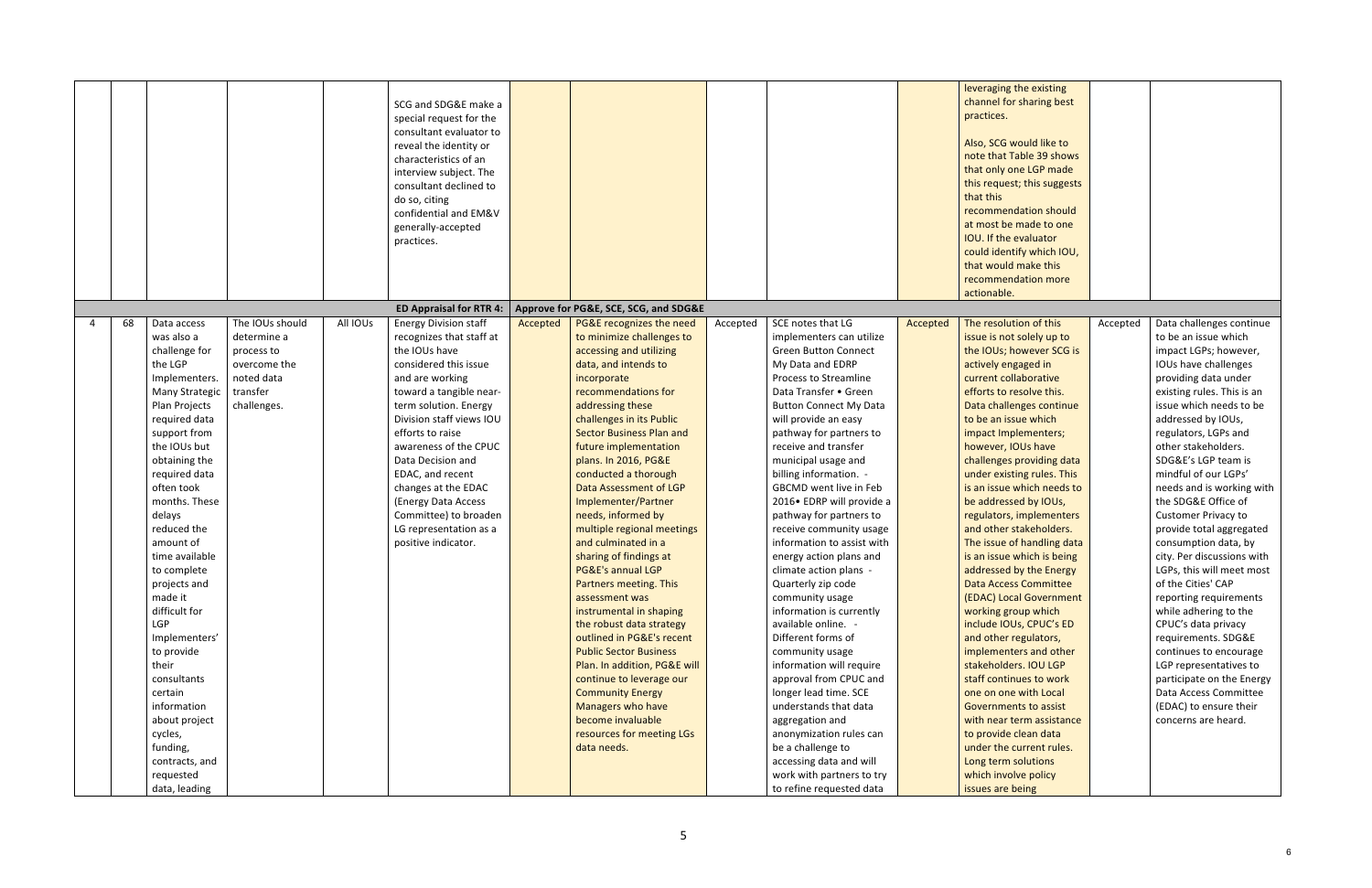|    |                                                                                                                                                                                                                                                                                                                                                                                                                                                                                       |                                                                                                       |          | SCG and SDG&E make a<br>special request for the<br>consultant evaluator to<br>reveal the identity or<br>characteristics of an<br>interview subject. The<br>consultant declined to<br>do so, citing<br>confidential and EM&V<br>generally-accepted<br>practices.                                                                                                                                                     |          |                                                                                                                                                                                                                                                                                                                                                                                                                                                                                                                                                                                                                                                                                                                                                                                                                                     |          |                                                                                                                                                                                                                                                                                                                                                                                                                                                                                                                                                                                                                                                                                                                                                                                                                                |          | leveraging the existing<br>channel for sharing best<br>practices.<br>Also, SCG would like to<br>note that Table 39 shows<br>that only one LGP made<br>this request; this suggests<br>that this<br>recommendation should<br>at most be made to one<br>IOU. If the evaluator<br>could identify which IOU,<br>that would make this                                                                                                                                                                                                                                                                                                                                                                                                                                                                                                                                                              |          |                                                                                                                                                                                                                                                                                                                                                                                                                                                                                                                                                                                                                                                                                                                                                                                           |
|----|---------------------------------------------------------------------------------------------------------------------------------------------------------------------------------------------------------------------------------------------------------------------------------------------------------------------------------------------------------------------------------------------------------------------------------------------------------------------------------------|-------------------------------------------------------------------------------------------------------|----------|---------------------------------------------------------------------------------------------------------------------------------------------------------------------------------------------------------------------------------------------------------------------------------------------------------------------------------------------------------------------------------------------------------------------|----------|-------------------------------------------------------------------------------------------------------------------------------------------------------------------------------------------------------------------------------------------------------------------------------------------------------------------------------------------------------------------------------------------------------------------------------------------------------------------------------------------------------------------------------------------------------------------------------------------------------------------------------------------------------------------------------------------------------------------------------------------------------------------------------------------------------------------------------------|----------|--------------------------------------------------------------------------------------------------------------------------------------------------------------------------------------------------------------------------------------------------------------------------------------------------------------------------------------------------------------------------------------------------------------------------------------------------------------------------------------------------------------------------------------------------------------------------------------------------------------------------------------------------------------------------------------------------------------------------------------------------------------------------------------------------------------------------------|----------|----------------------------------------------------------------------------------------------------------------------------------------------------------------------------------------------------------------------------------------------------------------------------------------------------------------------------------------------------------------------------------------------------------------------------------------------------------------------------------------------------------------------------------------------------------------------------------------------------------------------------------------------------------------------------------------------------------------------------------------------------------------------------------------------------------------------------------------------------------------------------------------------|----------|-------------------------------------------------------------------------------------------------------------------------------------------------------------------------------------------------------------------------------------------------------------------------------------------------------------------------------------------------------------------------------------------------------------------------------------------------------------------------------------------------------------------------------------------------------------------------------------------------------------------------------------------------------------------------------------------------------------------------------------------------------------------------------------------|
|    |                                                                                                                                                                                                                                                                                                                                                                                                                                                                                       |                                                                                                       |          |                                                                                                                                                                                                                                                                                                                                                                                                                     |          |                                                                                                                                                                                                                                                                                                                                                                                                                                                                                                                                                                                                                                                                                                                                                                                                                                     |          |                                                                                                                                                                                                                                                                                                                                                                                                                                                                                                                                                                                                                                                                                                                                                                                                                                |          | recommendation more<br>actionable.                                                                                                                                                                                                                                                                                                                                                                                                                                                                                                                                                                                                                                                                                                                                                                                                                                                           |          |                                                                                                                                                                                                                                                                                                                                                                                                                                                                                                                                                                                                                                                                                                                                                                                           |
|    |                                                                                                                                                                                                                                                                                                                                                                                                                                                                                       |                                                                                                       |          | <b>ED Appraisal for RTR 4:</b>                                                                                                                                                                                                                                                                                                                                                                                      |          | Approve for PG&E, SCE, SCG, and SDG&E                                                                                                                                                                                                                                                                                                                                                                                                                                                                                                                                                                                                                                                                                                                                                                                               |          |                                                                                                                                                                                                                                                                                                                                                                                                                                                                                                                                                                                                                                                                                                                                                                                                                                |          |                                                                                                                                                                                                                                                                                                                                                                                                                                                                                                                                                                                                                                                                                                                                                                                                                                                                                              |          |                                                                                                                                                                                                                                                                                                                                                                                                                                                                                                                                                                                                                                                                                                                                                                                           |
| 68 | Data access<br>was also a<br>challenge for<br>the LGP<br>Implementers.<br>Many Strategic<br>Plan Projects<br>required data<br>support from<br>the IOUs but<br>obtaining the<br>required data<br>often took<br>months. These<br>delays<br>reduced the<br>amount of<br>time available<br>to complete<br>projects and<br>made it<br>difficult for<br><b>LGP</b><br>Implementers'<br>to provide<br>their<br>consultants<br>certain<br>information<br>about project<br>cycles,<br>funding, | The IOUs should<br>determine a<br>process to<br>overcome the<br>noted data<br>transfer<br>challenges. | All IOUs | <b>Energy Division staff</b><br>recognizes that staff at<br>the IOUs have<br>considered this issue<br>and are working<br>toward a tangible near-<br>term solution. Energy<br>Division staff views IOU<br>efforts to raise<br>awareness of the CPUC<br>Data Decision and<br>EDAC, and recent<br>changes at the EDAC<br>(Energy Data Access<br>Committee) to broaden<br>LG representation as a<br>positive indicator. | Accepted | PG&E recognizes the need<br>to minimize challenges to<br>accessing and utilizing<br>data, and intends to<br>incorporate<br>recommendations for<br>addressing these<br>challenges in its Public<br><b>Sector Business Plan and</b><br>future implementation<br>plans. In 2016, PG&E<br>conducted a thorough<br>Data Assessment of LGP<br>Implementer/Partner<br>needs, informed by<br>multiple regional meetings<br>and culminated in a<br>sharing of findings at<br>PG&E's annual LGP<br>Partners meeting. This<br>assessment was<br>instrumental in shaping<br>the robust data strategy<br>outlined in PG&E's recent<br><b>Public Sector Business</b><br>Plan. In addition, PG&E will<br>continue to leverage our<br><b>Community Energy</b><br>Managers who have<br>become invaluable<br>resources for meeting LGs<br>data needs. | Accepted | SCE notes that LG<br>implementers can utilize<br><b>Green Button Connect</b><br>My Data and EDRP<br>Process to Streamline<br>Data Transfer • Green<br><b>Button Connect My Data</b><br>will provide an easy<br>pathway for partners to<br>receive and transfer<br>municipal usage and<br>billing information. -<br>GBCMD went live in Feb<br>2016 • EDRP will provide a<br>pathway for partners to<br>receive community usage<br>information to assist with<br>energy action plans and<br>climate action plans -<br>Quarterly zip code<br>community usage<br>information is currently<br>available online.<br>Different forms of<br>community usage<br>information will require<br>approval from CPUC and<br>longer lead time. SCE<br>understands that data<br>aggregation and<br>anonymization rules can<br>be a challenge to | Accepted | The resolution of this<br>issue is not solely up to<br>the IOUs; however SCG is<br>actively engaged in<br>current collaborative<br>efforts to resolve this.<br>Data challenges continue<br>to be an issue which<br>impact Implementers;<br>however, IOUs have<br>challenges providing data<br>under existing rules. This<br>is an issue which needs to<br>be addressed by IOUs,<br>regulators, implementers<br>and other stakeholders.<br>The issue of handling data<br>is an issue which is being<br>addressed by the Energy<br><b>Data Access Committee</b><br>(EDAC) Local Government<br>working group which<br>include IOUs, CPUC's ED<br>and other regulators,<br>implementers and other<br>stakeholders. IOU LGP<br>staff continues to work<br>one on one with Local<br><b>Governments to assist</b><br>with near term assistance<br>to provide clean data<br>under the current rules. | Accepted | Data challenges continue<br>to be an issue which<br>impact LGPs; however,<br>IOUs have challenges<br>providing data under<br>existing rules. This is an<br>issue which needs to be<br>addressed by IOUs,<br>regulators, LGPs and<br>other stakeholders.<br>SDG&E's LGP team is<br>mindful of our LGPs'<br>needs and is working with<br>the SDG&E Office of<br><b>Customer Privacy to</b><br>provide total aggregated<br>consumption data, by<br>city. Per discussions with<br>LGPs, this will meet most<br>of the Cities' CAP<br>reporting requirements<br>while adhering to the<br>CPUC's data privacy<br>requirements. SDG&E<br>continues to encourage<br>LGP representatives to<br>participate on the Energy<br>Data Access Committee<br>(EDAC) to ensure their<br>concerns are heard. |
|    | contracts, and<br>requested<br>data, leading                                                                                                                                                                                                                                                                                                                                                                                                                                          |                                                                                                       |          |                                                                                                                                                                                                                                                                                                                                                                                                                     |          |                                                                                                                                                                                                                                                                                                                                                                                                                                                                                                                                                                                                                                                                                                                                                                                                                                     |          | accessing data and will<br>work with partners to try<br>to refine requested data                                                                                                                                                                                                                                                                                                                                                                                                                                                                                                                                                                                                                                                                                                                                               |          | Long term solutions<br>which involve policy<br>issues are being                                                                                                                                                                                                                                                                                                                                                                                                                                                                                                                                                                                                                                                                                                                                                                                                                              |          |                                                                                                                                                                                                                                                                                                                                                                                                                                                                                                                                                                                                                                                                                                                                                                                           |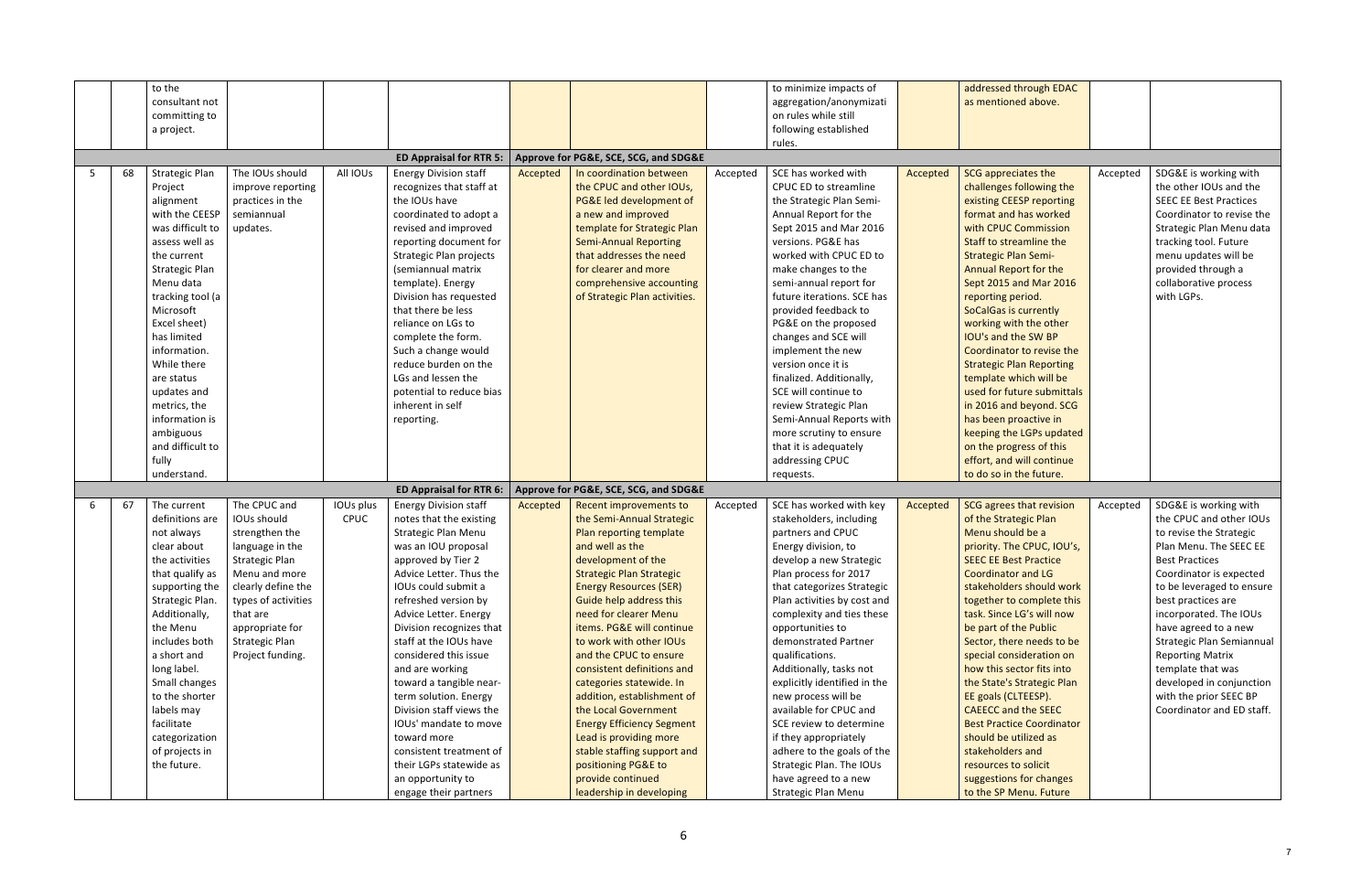|    | to the                |                       |             |                                            |          |                                               |          | to minimize impacts of                             |          | addressed through EDAC                            |          |                               |
|----|-----------------------|-----------------------|-------------|--------------------------------------------|----------|-----------------------------------------------|----------|----------------------------------------------------|----------|---------------------------------------------------|----------|-------------------------------|
|    | consultant not        |                       |             |                                            |          |                                               |          | aggregation/anonymizati                            |          | as mentioned above.                               |          |                               |
|    | committing to         |                       |             |                                            |          |                                               |          | on rules while still                               |          |                                                   |          |                               |
|    | a project.            |                       |             |                                            |          |                                               |          | following established                              |          |                                                   |          |                               |
|    |                       |                       |             |                                            |          |                                               |          | rules.                                             |          |                                                   |          |                               |
|    |                       |                       |             | <b>ED Appraisal for RTR 5:</b>             |          | Approve for PG&E, SCE, SCG, and SDG&E         |          |                                                    |          |                                                   |          |                               |
| 68 | <b>Strategic Plan</b> | The IOUs should       | All IOUs    | <b>Energy Division staff</b>               | Accepted | In coordination between                       | Accepted | SCE has worked with                                | Accepted | SCG appreciates the                               | Accepted | SDG&E is working with         |
|    | Project               | improve reporting     |             | recognizes that staff at                   |          | the CPUC and other IOUs,                      |          | <b>CPUC ED to streamline</b>                       |          | challenges following the                          |          | the other IOUs and the        |
|    | alignment             | practices in the      |             | the IOUs have                              |          | PG&E led development of                       |          | the Strategic Plan Semi-                           |          | existing CEESP reporting                          |          | <b>SEEC EE Best Practices</b> |
|    | with the CEESP        | semiannual            |             | coordinated to adopt a                     |          | a new and improved                            |          | Annual Report for the                              |          | format and has worked                             |          | Coordinator to revise the     |
|    | was difficult to      | updates.              |             | revised and improved                       |          | template for Strategic Plan                   |          | Sept 2015 and Mar 2016                             |          | with CPUC Commission                              |          | Strategic Plan Menu data      |
|    | assess well as        |                       |             | reporting document for                     |          | <b>Semi-Annual Reporting</b>                  |          | versions. PG&E has                                 |          | Staff to streamline the                           |          | tracking tool. Future         |
|    | the current           |                       |             | Strategic Plan projects                    |          | that addresses the need                       |          | worked with CPUC ED to                             |          | <b>Strategic Plan Semi-</b>                       |          | menu updates will be          |
|    | <b>Strategic Plan</b> |                       |             | (semiannual matrix                         |          | for clearer and more                          |          | make changes to the                                |          | <b>Annual Report for the</b>                      |          | provided through a            |
|    | Menu data             |                       |             | template). Energy                          |          | comprehensive accounting                      |          | semi-annual report for                             |          | Sept 2015 and Mar 2016                            |          | collaborative process         |
|    | tracking tool (a      |                       |             | Division has requested                     |          | of Strategic Plan activities.                 |          | future iterations. SCE has                         |          | reporting period.                                 |          | with LGPs.                    |
|    | Microsoft             |                       |             | that there be less                         |          |                                               |          | provided feedback to                               |          | <b>SoCalGas is currently</b>                      |          |                               |
|    | Excel sheet)          |                       |             | reliance on LGs to                         |          |                                               |          | PG&E on the proposed                               |          | working with the other                            |          |                               |
|    | has limited           |                       |             | complete the form.                         |          |                                               |          | changes and SCE will                               |          | IOU's and the SW BP                               |          |                               |
|    | information.          |                       |             | Such a change would                        |          |                                               |          | implement the new                                  |          | Coordinator to revise the                         |          |                               |
|    | While there           |                       |             | reduce burden on the                       |          |                                               |          | version once it is                                 |          | <b>Strategic Plan Reporting</b>                   |          |                               |
|    | are status            |                       |             | LGs and lessen the                         |          |                                               |          | finalized. Additionally,                           |          | template which will be                            |          |                               |
|    | updates and           |                       |             | potential to reduce bias                   |          |                                               |          | SCE will continue to                               |          | used for future submittals                        |          |                               |
|    | metrics, the          |                       |             | inherent in self                           |          |                                               |          | review Strategic Plan                              |          | in 2016 and beyond. SCG                           |          |                               |
|    | information is        |                       |             | reporting.                                 |          |                                               |          | Semi-Annual Reports with                           |          | has been proactive in                             |          |                               |
|    | ambiguous             |                       |             |                                            |          |                                               |          | more scrutiny to ensure                            |          | keeping the LGPs updated                          |          |                               |
|    | and difficult to      |                       |             |                                            |          |                                               |          | that it is adequately                              |          | on the progress of this                           |          |                               |
|    | fully                 |                       |             |                                            |          |                                               |          | addressing CPUC                                    |          | effort, and will continue                         |          |                               |
|    | understand.           |                       |             |                                            |          |                                               |          | requests.                                          |          | to do so in the future.                           |          |                               |
|    |                       |                       |             | <b>ED Appraisal for RTR 6:</b>             |          | Approve for PG&E, SCE, SCG, and SDG&E         |          |                                                    |          |                                                   |          |                               |
| 67 | The current           | The CPUC and          | IOUs plus   | <b>Energy Division staff</b>               | Accepted | Recent improvements to                        | Accepted | SCE has worked with key                            | Accepted | SCG agrees that revision                          | Accepted | SDG&E is working with         |
|    | definitions are       | IOUs should           | <b>CPUC</b> | notes that the existing                    |          | the Semi-Annual Strategic                     |          | stakeholders, including                            |          | of the Strategic Plan                             |          | the CPUC and other IOUs       |
|    | not always            | strengthen the        |             | <b>Strategic Plan Menu</b>                 |          | Plan reporting template                       |          | partners and CPUC                                  |          | Menu should be a                                  |          | to revise the Strategic       |
|    | clear about           | language in the       |             | was an IOU proposal                        |          | and well as the                               |          | Energy division, to                                |          | priority. The CPUC, IOU's,                        |          | Plan Menu. The SEEC EE        |
|    | the activities        | <b>Strategic Plan</b> |             | approved by Tier 2                         |          | development of the                            |          | develop a new Strategic                            |          | <b>SEEC EE Best Practice</b>                      |          | <b>Best Practices</b>         |
|    | that qualify as       | Menu and more         |             | Advice Letter. Thus the                    |          | <b>Strategic Plan Strategic</b>               |          | Plan process for 2017                              |          | <b>Coordinator and LG</b>                         |          | Coordinator is expected       |
|    | supporting the        | clearly define the    |             | IOUs could submit a                        |          | <b>Energy Resources (SER)</b>                 |          | that categorizes Strategic                         |          | stakeholders should work                          |          | to be leveraged to ensure     |
|    | Strategic Plan.       | types of activities   |             | refreshed version by                       |          | Guide help address this                       |          | Plan activities by cost and                        |          | together to complete this                         |          | best practices are            |
|    | Additionally,         | that are              |             | Advice Letter. Energy                      |          | need for clearer Menu                         |          | complexity and ties these                          |          | task. Since LG's will now                         |          | incorporated. The IOUs        |
|    | the Menu              | appropriate for       |             | Division recognizes that                   |          | items. PG&E will continue                     |          | opportunities to                                   |          | be part of the Public                             |          | have agreed to a new          |
|    | includes both         | <b>Strategic Plan</b> |             | staff at the IOUs have                     |          | to work with other IOUs                       |          | demonstrated Partner                               |          | Sector, there needs to be                         |          | Strategic Plan Semiannual     |
|    | a short and           | Project funding.      |             | considered this issue                      |          | and the CPUC to ensure                        |          | qualifications.                                    |          | special consideration on                          |          | <b>Reporting Matrix</b>       |
|    | long label.           |                       |             | and are working                            |          | consistent definitions and                    |          | Additionally, tasks not                            |          | how this sector fits into                         |          | template that was             |
|    | Small changes         |                       |             | toward a tangible near-                    |          | categories statewide. In                      |          | explicitly identified in the                       |          | the State's Strategic Plan                        |          | developed in conjunction      |
|    | to the shorter        |                       |             | term solution. Energy                      |          | addition, establishment of                    |          | new process will be                                |          | EE goals (CLTEESP).                               |          | with the prior SEEC BP        |
|    | labels may            |                       |             | Division staff views the                   |          | the Local Government                          |          | available for CPUC and                             |          | <b>CAEECC and the SEEC</b>                        |          | Coordinator and ED staff.     |
|    | facilitate            |                       |             | IOUs' mandate to move                      |          | <b>Energy Efficiency Segment</b>              |          | SCE review to determine                            |          | <b>Best Practice Coordinator</b>                  |          |                               |
|    |                       |                       |             | toward more                                |          | Lead is providing more                        |          | if they appropriately                              |          | should be utilized as                             |          |                               |
|    |                       |                       |             |                                            |          |                                               |          |                                                    |          |                                                   |          |                               |
|    | categorization        |                       |             |                                            |          |                                               |          |                                                    |          |                                                   |          |                               |
|    | of projects in        |                       |             | consistent treatment of                    |          | stable staffing support and                   |          | adhere to the goals of the                         |          | stakeholders and                                  |          |                               |
|    | the future.           |                       |             | their LGPs statewide as                    |          | positioning PG&E to                           |          | Strategic Plan. The IOUs                           |          | resources to solicit                              |          |                               |
|    |                       |                       |             | an opportunity to<br>engage their partners |          | provide continued<br>leadership in developing |          | have agreed to a new<br><b>Strategic Plan Menu</b> |          | suggestions for changes<br>to the SP Menu. Future |          |                               |